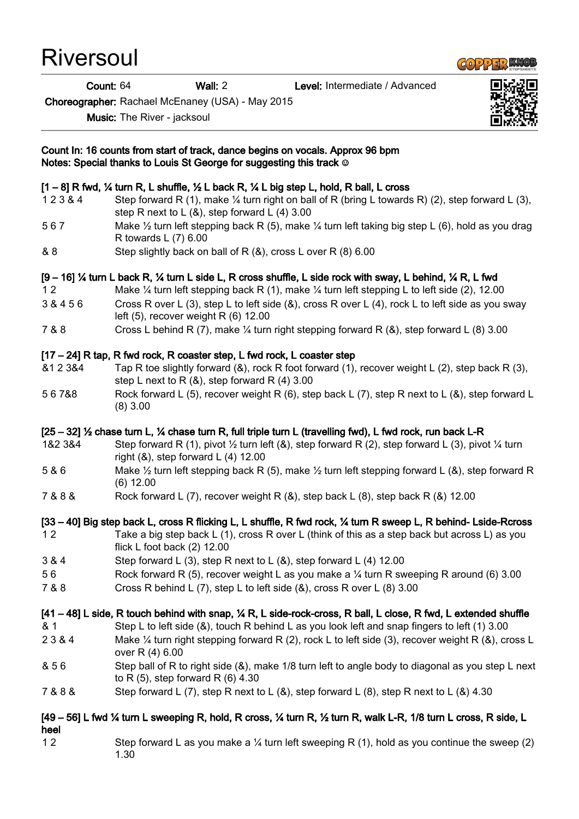Riversoul

Count: 64 Wall: 2 Level: Intermediate / Advanced

Choreographer: Rachael McEnaney (USA) - May 2015

Music: The River - jacksoul